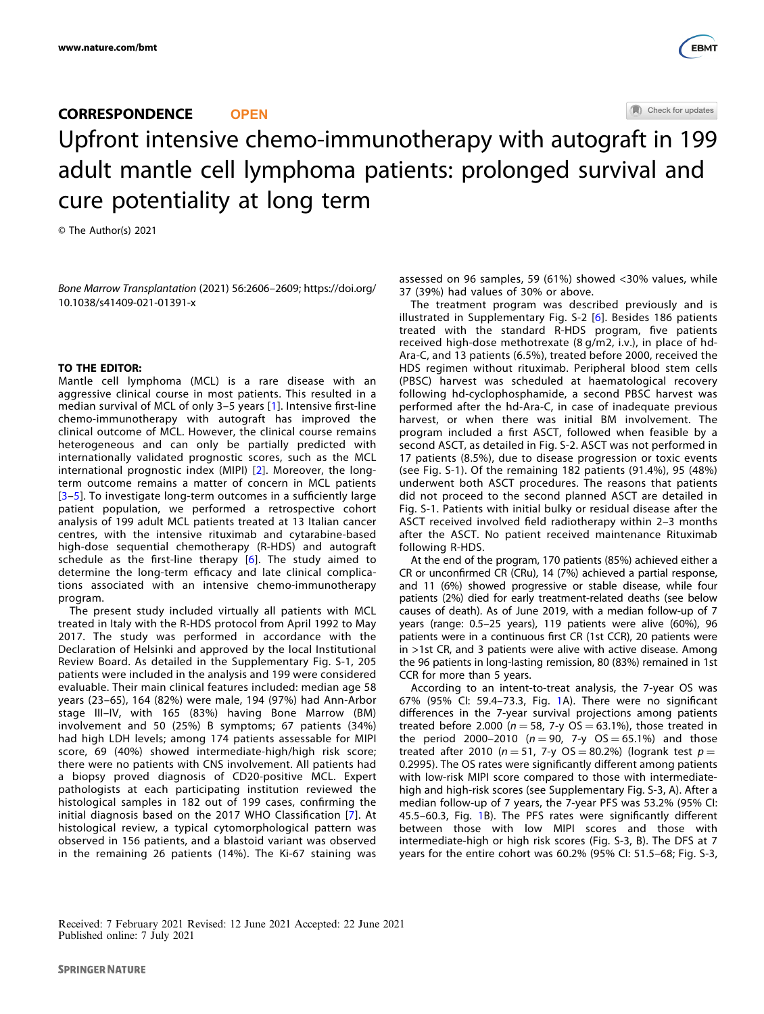

# CORRESPONDENCE **OPEN** Upfront intensive chemo-immunotherapy with autogr[a](http://crossmark.crossref.org/dialog/?doi=10.1038/s41409-021-01391-x&domain=pdf)ft in 199 adult mantle cell lymphoma patients: prolonged survival and cure potentiality at long term

© The Author(s) 2021

Bone Marrow Transplantation (2021) 56:2606–2609; https://doi.org/ 10.1038/s41409-021-01391-x

## TO THE EDITOR:

Mantle cell lymphoma (MCL) is a rare disease with an aggressive clinical course in most patients. This resulted in a median survival of MCL of only 3–5 years [\[1](#page-2-0)]. Intensive first-line chemo-immunotherapy with autograft has improved the clinical outcome of MCL. However, the clinical course remains heterogeneous and can only be partially predicted with internationally validated prognostic scores, such as the MCL international prognostic index (MIPI) [[2\]](#page-2-0). Moreover, the longterm outcome remains a matter of concern in MCL patients [[3](#page-2-0)–[5](#page-2-0)]. To investigate long-term outcomes in a sufficiently large patient population, we performed a retrospective cohort analysis of 199 adult MCL patients treated at 13 Italian cancer centres, with the intensive rituximab and cytarabine-based high-dose sequential chemotherapy (R-HDS) and autograft schedule as the first-line therapy [[6\]](#page-2-0). The study aimed to determine the long-term efficacy and late clinical complications associated with an intensive chemo-immunotherapy program.

The present study included virtually all patients with MCL treated in Italy with the R-HDS protocol from April 1992 to May 2017. The study was performed in accordance with the Declaration of Helsinki and approved by the local Institutional Review Board. As detailed in the Supplementary Fig. S-1, 205 patients were included in the analysis and 199 were considered evaluable. Their main clinical features included: median age 58 years (23–65), 164 (82%) were male, 194 (97%) had Ann-Arbor stage III–IV, with 165 (83%) having Bone Marrow (BM) involvement and 50 (25%) B symptoms; 67 patients (34%) had high LDH levels; among 174 patients assessable for MIPI score, 69 (40%) showed intermediate-high/high risk score; there were no patients with CNS involvement. All patients had a biopsy proved diagnosis of CD20-positive MCL. Expert pathologists at each participating institution reviewed the histological samples in 182 out of 199 cases, confirming the initial diagnosis based on the 2017 WHO Classification [[7\]](#page-2-0). At histological review, a typical cytomorphological pattern was observed in 156 patients, and a blastoid variant was observed in the remaining 26 patients (14%). The Ki-67 staining was assessed on 96 samples, 59 (61%) showed <30% values, while 37 (39%) had values of 30% or above.

The treatment program was described previously and is illustrated in Supplementary Fig. S-2 [[6\]](#page-2-0). Besides 186 patients treated with the standard R-HDS program, five patients received high-dose methotrexate (8 g/m2, i.v.), in place of hd-Ara-C, and 13 patients (6.5%), treated before 2000, received the HDS regimen without rituximab. Peripheral blood stem cells (PBSC) harvest was scheduled at haematological recovery following hd-cyclophosphamide, a second PBSC harvest was performed after the hd-Ara-C, in case of inadequate previous harvest, or when there was initial BM involvement. The program included a first ASCT, followed when feasible by a second ASCT, as detailed in Fig. S-2. ASCT was not performed in 17 patients (8.5%), due to disease progression or toxic events (see Fig. S-1). Of the remaining 182 patients (91.4%), 95 (48%) underwent both ASCT procedures. The reasons that patients did not proceed to the second planned ASCT are detailed in Fig. S-1. Patients with initial bulky or residual disease after the ASCT received involved field radiotherapy within 2–3 months after the ASCT. No patient received maintenance Rituximab following R-HDS.

At the end of the program, 170 patients (85%) achieved either a CR or unconfirmed CR (CRu), 14 (7%) achieved a partial response, and 11 (6%) showed progressive or stable disease, while four patients (2%) died for early treatment-related deaths (see below causes of death). As of June 2019, with a median follow-up of 7 years (range: 0.5–25 years), 119 patients were alive (60%), 96 patients were in a continuous first CR (1st CCR), 20 patients were in >1st CR, and 3 patients were alive with active disease. Among the 96 patients in long-lasting remission, 80 (83%) remained in 1st CCR for more than 5 years.

According to an intent-to-treat analysis, the 7-year OS was 67% (95% CI: 59.4–73.3, Fig. [1A](#page-1-0)). There were no significant differences in the 7-year survival projections among patients treated before 2.000 ( $n = 58$ , 7-y OS = 63.1%), those treated in the period 2000–2010 ( $n = 90$ , 7-y OS = 65.1%) and those treated after 2010 ( $n = 51$ , 7-y OS = 80.2%) (logrank test  $p =$ 0.2995). The OS rates were significantly different among patients with low-risk MIPI score compared to those with intermediatehigh and high-risk scores (see Supplementary Fig. S-3, A). After a median follow-up of 7 years, the 7-year PFS was 53.2% (95% CI: 45.5–60.3, Fig. [1](#page-1-0)B). The PFS rates were significantly different between those with low MIPI scores and those with intermediate-high or high risk scores (Fig. S-3, B). The DFS at 7 years for the entire cohort was 60.2% (95% CI: 51.5–68; Fig. S-3,

Received: 7 February 2021 Revised: 12 June 2021 Accepted: 22 June 2021 Published online: 7 July 2021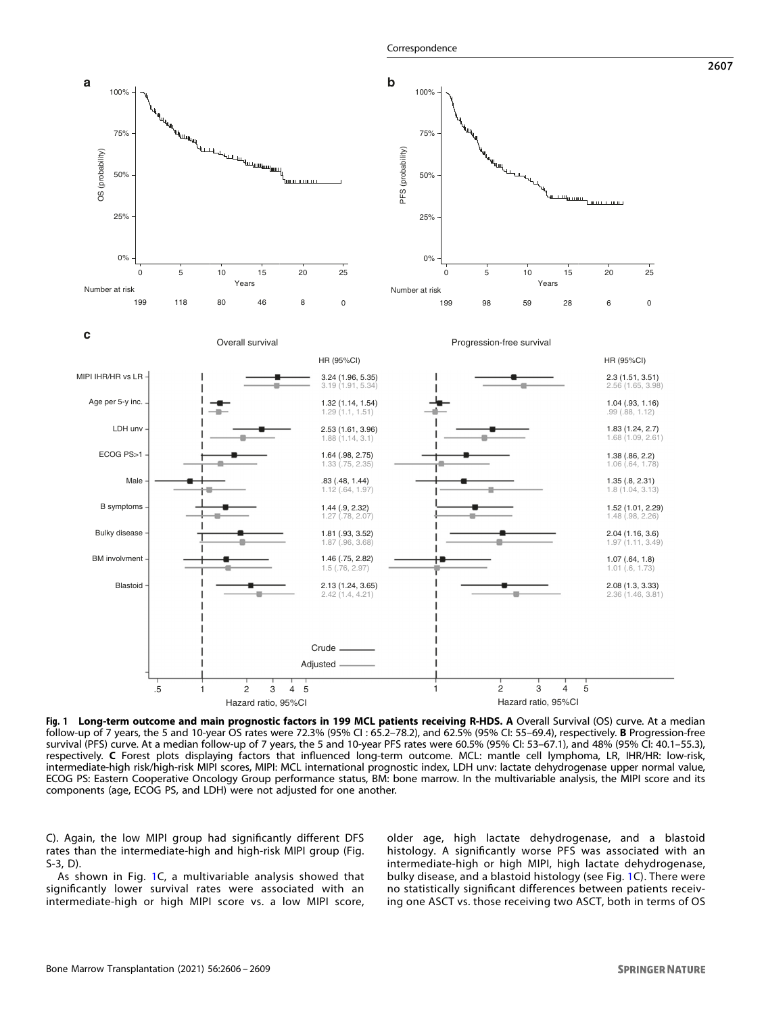

<span id="page-1-0"></span>

Fig. 1 Long-term outcome and main prognostic factors in 199 MCL patients receiving R-HDS. A Overall Survival (OS) curve. At a median follow-up of 7 years, the 5 and 10-year OS rates were 72.3% (95% CI : 65.2–78.2), and 62.5% (95% CI: 55–69.4), respectively. B Progression-free survival (PFS) curve. At a median follow-up of 7 years, the 5 and 10-year PFS rates were 60.5% (95% CI: 53–67.1), and 48% (95% CI: 40.1–55.3), respectively. C Forest plots displaying factors that influenced long-term outcome. MCL: mantle cell lymphoma, LR, IHR/HR: low-risk, intermediate-high risk/high-risk MIPI scores, MIPI: MCL international prognostic index, LDH unv: lactate dehydrogenase upper normal value, ECOG PS: Eastern Cooperative Oncology Group performance status, BM: bone marrow. In the multivariable analysis, the MIPI score and its components (age, ECOG PS, and LDH) were not adjusted for one another.

C). Again, the low MIPI group had significantly different DFS rates than the intermediate-high and high-risk MIPI group (Fig. S-3, D).

As shown in Fig. 1C, a multivariable analysis showed that significantly lower survival rates were associated with an intermediate-high or high MIPI score vs. a low MIPI score, older age, high lactate dehydrogenase, and a blastoid histology. A significantly worse PFS was associated with an intermediate-high or high MIPI, high lactate dehydrogenase, bulky disease, and a blastoid histology (see Fig. 1C). There were no statistically significant differences between patients receiving one ASCT vs. those receiving two ASCT, both in terms of OS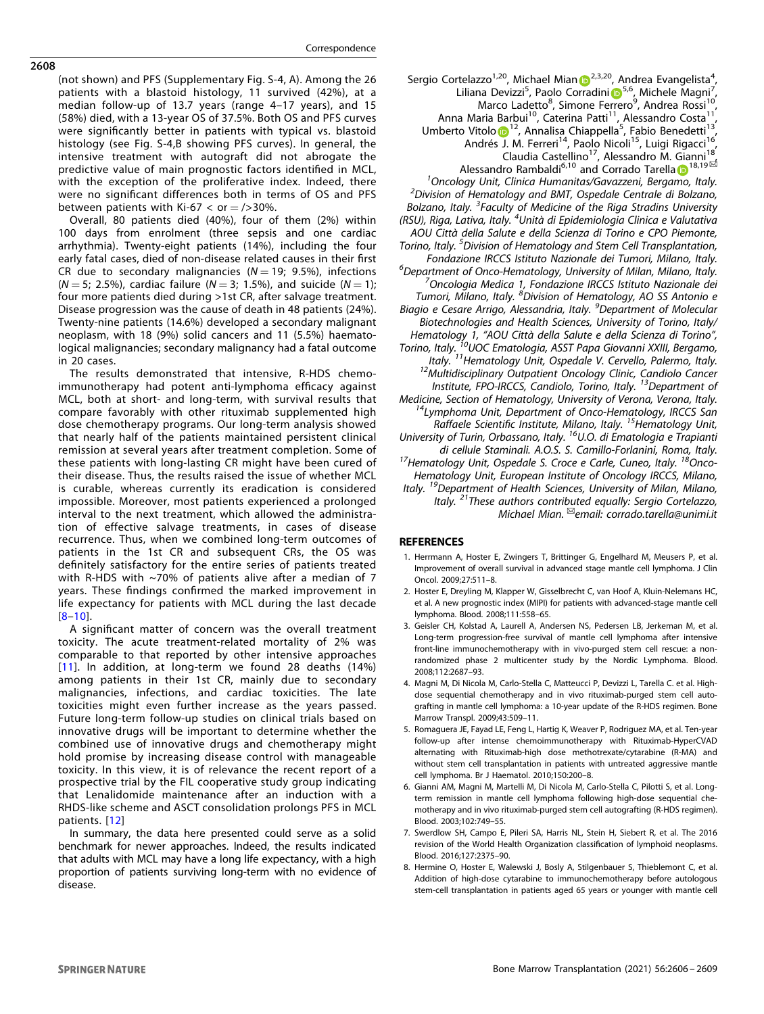(not shown) and PFS (Supplementary Fig. S-4, A). Among the 26 patients with a blastoid histology, 11 survived (42%), at a median follow-up of 13.7 years (range 4–17 years), and 15 (58%) died, with a 13-year OS of 37.5%. Both OS and PFS curves were significantly better in patients with typical vs. blastoid histology (see Fig. S-4,B showing PFS curves). In general, the intensive treatment with autograft did not abrogate the predictive value of main prognostic factors identified in MCL, with the exception of the proliferative index. Indeed, there were no significant differences both in terms of OS and PFS between patients with Ki-67  $<$  or  $=$  />30%.

Overall, 80 patients died (40%), four of them (2%) within 100 days from enrolment (three sepsis and one cardiac arrhythmia). Twenty-eight patients (14%), including the four early fatal cases, died of non-disease related causes in their first CR due to secondary malignancies ( $N = 19$ ; 9.5%), infections  $(N = 5; 2.5\%)$ , cardiac failure  $(N = 3; 1.5\%)$ , and suicide  $(N = 1);$ four more patients died during >1st CR, after salvage treatment. Disease progression was the cause of death in 48 patients (24%). Twenty-nine patients (14.6%) developed a secondary malignant neoplasm, with 18 (9%) solid cancers and 11 (5.5%) haematological malignancies; secondary malignancy had a fatal outcome in 20 cases.

The results demonstrated that intensive, R-HDS chemoimmunotherapy had potent anti-lymphoma efficacy against MCL, both at short- and long-term, with survival results that compare favorably with other rituximab supplemented high dose chemotherapy programs. Our long-term analysis showed that nearly half of the patients maintained persistent clinical remission at several years after treatment completion. Some of these patients with long-lasting CR might have been cured of their disease. Thus, the results raised the issue of whether MCL is curable, whereas currently its eradication is considered impossible. Moreover, most patients experienced a prolonged interval to the next treatment, which allowed the administration of effective salvage treatments, in cases of disease recurrence. Thus, when we combined long-term outcomes of patients in the 1st CR and subsequent CRs, the OS was definitely satisfactory for the entire series of patients treated with R-HDS with ~70% of patients alive after a median of 7 years. These findings confirmed the marked improvement in life expectancy for patients with MCL during the last decade [8–[10](#page-3-0)].

A significant matter of concern was the overall treatment toxicity. The acute treatment-related mortality of 2% was comparable to that reported by other intensive approaches [[11\]](#page-3-0). In addition, at long-term we found 28 deaths (14%) among patients in their 1st CR, mainly due to secondary malignancies, infections, and cardiac toxicities. The late toxicities might even further increase as the years passed. Future long-term follow-up studies on clinical trials based on innovative drugs will be important to determine whether the combined use of innovative drugs and chemotherapy might hold promise by increasing disease control with manageable toxicity. In this view, it is of relevance the recent report of a prospective trial by the FIL cooperative study group indicating that Lenalidomide maintenance after an induction with a RHDS-like scheme and ASCT consolidation prolongs PFS in MCL patients. [[12\]](#page-3-0)

In summary, the data here presented could serve as a solid benchmark for newer approaches. Indeed, the results indicated that adults with MCL may have a long life expectancy, with a high proportion of patients surviving long-term with no evidence of disease.

Sergio Cortelazzo<sup>1,[2](http://orcid.org/0000-0003-2539-5996)0</sup>, Michael Mian D<sup>2,3,20</sup>, Andrea Evangelista<sup>4</sup> , L[i](http://orcid.org/0000-0002-9186-1353)liana Devizzi<sup>[5](http://orcid.org/0000-0002-9186-1353)</sup>, Paolo Corradini D<sup>5,6</sup>, Michele Magni<sup>7</sup> , Marco Ladetto<sup>8</sup>, Simone Ferrero<sup>9</sup>, Andrea Rossi<sup>10</sup>, Anna Maria Barbui<sup>10</sup>, Caterina Patti<sup>11</sup>, Alessandro Costa<sup>11</sup> Umbert[o](http://orcid.org/0000-0001-7772-2747) Vitolo <sup>[1](http://orcid.org/0000-0001-7772-2747)2</sup>, Annalisa Chiappella<sup>5</sup>, Fabio Benedetti<sup>13</sup>, Andrés J. M. Ferreri<sup>14</sup>, Paolo Nicoli<sup>15</sup>, Luigi Rigacci<sup>16</sup>, Claudia Castellino<sup>[1](http://orcid.org/0000-0003-1473-6046)7</sup>, Alessandro M. Gianni<sup>18</sup><br>Alessandro Rambaldi<sup>6,10</sup> and Corrado Tarella D<sup>18,19⊠</sup> <sup>1</sup> Oncology Unit, Clinica Humanitas/Gavazzeni, Bergamo, Italy.<br><sup>2</sup> Division of Hamatology and BMT, Ospadale Centrale di Bolzano.  $2$ Division of Hematology and BMT, Ospedale Centrale di Bolzano, Bolzano, Italy. <sup>3</sup> Faculty of Medicine of the Riga Stradins University (RSU), Riga, Lativa, Italy. <sup>4</sup>Unità di Epidemiologia Clinica e Valutativa AOU Città della Salute e della Scienza di Torino e CPO Piemonte, Torino, Italy. <sup>5</sup>Division of Hematology and Stem Cell Transplantation, Fondazione IRCCS Istituto Nazionale dei Tumori, Milano, Italy. <sup>6</sup>  $6$ Department of Onco-Hematology, University of Milan, Milano, Italy. Oncologia Medica 1, Fondazione IRCCS Istituto Nazionale dei Tumori, Milano, Italy. <sup>8</sup> Division of Hematology, AO SS Antonio e Biagio e Cesare Arrigo, Alessandria, Italy. <sup>9</sup>Department of Molecular Biotechnologies and Health Sciences, University of Torino, Italy/ Hematology 1, "AOU Città della Salute e della Scienza di Torino", Torino, Italy.<sup>710</sup>UOC Ematologia, ASST Papa Giovanni XXIII, Bergamo, Italy. <sup>11</sup>Hematology Unit, Ospedale V. Cervello, Palermo, Italy.<br><sup>12</sup>Multidisciplinary Outpatient Oncology Clinic, Candiolo Cancer Institute, FPO-IRCCS, Candiolo, Torino, Italy. <sup>13</sup>Department of Medicine, Section of Hematology, University of Verona, Verona, Italy. 14Lymphoma Unit, Department of Onco-Hematology, IRCCS San Raffaele Scientific Institute, Milano, Italy. <sup>15</sup>Hematology Unit, University of Turin, Orbassano, Italy. <sup>16</sup>U.O. di Ematologia e Trapianti di cellule Staminali. A.O.S. S. Camillo-Forlanini, Roma, Italy.<br><sup>17</sup>Hematology Unit, Ospedale S. Croce e Carle, Cuneo, Italy. <sup>18</sup>Onco-Hematology Unit, European Institute of Oncology IRCCS, Milano, Italy. 19Department of Health Sciences, University of Milan, Milano, Italy.<sup>21</sup>These authors contributed equally: Sergio Cortelazzo, Michael Mian. ✉email: [corrado.tarella@unimi.it](mailto:corrado.tarella@unimi.it)

### **REFERENCES**

- 1. Herrmann A, Hoster E, Zwingers T, Brittinger G, Engelhard M, Meusers P, et al. Improvement of overall survival in advanced stage mantle cell lymphoma. J Clin Oncol. 2009;27:511–8.
- 2. Hoster E, Dreyling M, Klapper W, Gisselbrecht C, van Hoof A, Kluin-Nelemans HC, et al. A new prognostic index (MIPI) for patients with advanced-stage mantle cell lymphoma. Blood. 2008;111:558–65.
- 3. Geisler CH, Kolstad A, Laurell A, Andersen NS, Pedersen LB, Jerkeman M, et al. Long-term progression-free survival of mantle cell lymphoma after intensive front-line immunochemotherapy with in vivo-purged stem cell rescue: a nonrandomized phase 2 multicenter study by the Nordic Lymphoma. Blood. 2008;112:2687–93.
- 4. Magni M, Di Nicola M, Carlo-Stella C, Matteucci P, Devizzi L, Tarella C. et al. Highdose sequential chemotherapy and in vivo rituximab-purged stem cell autografting in mantle cell lymphoma: a 10-year update of the R-HDS regimen. Bone Marrow Transpl. 2009;43:509–11.
- 5. Romaguera JE, Fayad LE, Feng L, Hartig K, Weaver P, Rodriguez MA, et al. Ten-year follow-up after intense chemoimmunotherapy with Rituximab-HyperCVAD alternating with Rituximab-high dose methotrexate/cytarabine (R-MA) and without stem cell transplantation in patients with untreated aggressive mantle cell lymphoma. Br J Haematol. 2010;150:200–8.
- 6. Gianni AM, Magni M, Martelli M, Di Nicola M, Carlo-Stella C, Pilotti S, et al. Longterm remission in mantle cell lymphoma following high-dose sequential chemotherapy and in vivo rituximab-purged stem cell autografting (R-HDS regimen). Blood. 2003;102:749–55.
- 7. Swerdlow SH, Campo E, Pileri SA, Harris NL, Stein H, Siebert R, et al. The 2016 revision of the World Health Organization classification of lymphoid neoplasms. Blood. 2016;127:2375–90.
- 8. Hermine O, Hoster E, Walewski J, Bosly A, Stilgenbauer S, Thieblemont C, et al. Addition of high-dose cytarabine to immunochemotherapy before autologous stem-cell transplantation in patients aged 65 years or younger with mantle cell

## <span id="page-2-0"></span>2608